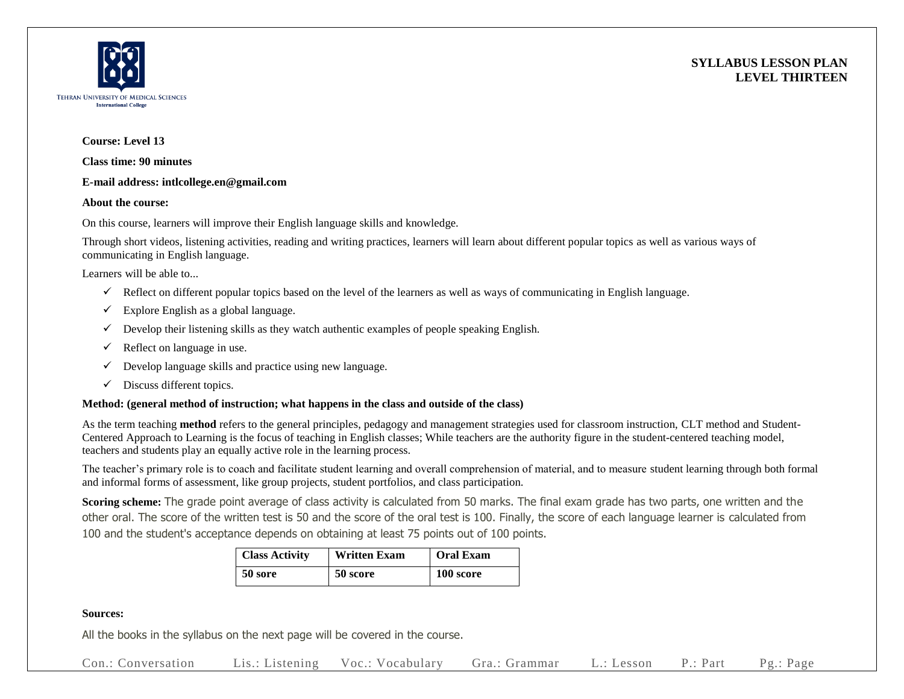



## **Course: Level 13**

**Class time: 90 minutes**

#### **E-mail address: intlcollege.en@gmail.com**

#### **About the course:**

On this course, learners will improve their English language skills and knowledge.

Through short videos, listening activities, reading and writing practices, learners will learn about different popular topics as well as various ways of communicating in English language.

Learners will be able to...

- $\checkmark$  Reflect on different popular topics based on the level of the learners as well as ways of communicating in English language.
- $\checkmark$  Explore English as a global language.
- $\checkmark$  Develop their listening skills as they watch authentic examples of people speaking English.
- $\checkmark$  Reflect on language in use.
- $\checkmark$  Develop language skills and practice using new language.
- $\checkmark$  Discuss different topics.

## **Method: (general method of instruction; what happens in the class and outside of the class)**

As the term teaching **method** refers to the general principles, pedagogy and management strategies used for classroom instruction, CLT method and Student-Centered Approach to Learning is the focus of teaching in English classes; While teachers are the authority figure in the student-centered teaching model, teachers and students play an equally active role in the learning process.

The teacher's primary role is to coach and facilitate student learning and overall comprehension of material, and to measure student learning through both formal and informal forms of assessment, like group projects, student portfolios, and class participation.

**Scoring scheme:** The grade point average of class activity is calculated from 50 marks. The final exam grade has two parts, one written and the other oral. The score of the written test is 50 and the score of the oral test is 100. Finally, the score of each language learner is calculated from 100 and the student's acceptance depends on obtaining at least 75 points out of 100 points.

| <b>Class Activity</b> | <b>Written Exam</b> | <b>Oral Exam</b> |  |
|-----------------------|---------------------|------------------|--|
| 50 sore               | 50 score            | 100 score        |  |

## **Sources:**

All the books in the syllabus on the next page will be covered in the course.

Con.: Conversation Lis.: Listening Voc.: Vocabulary Gra.: Grammar L.: Lesson P.: Part Pg.: Page